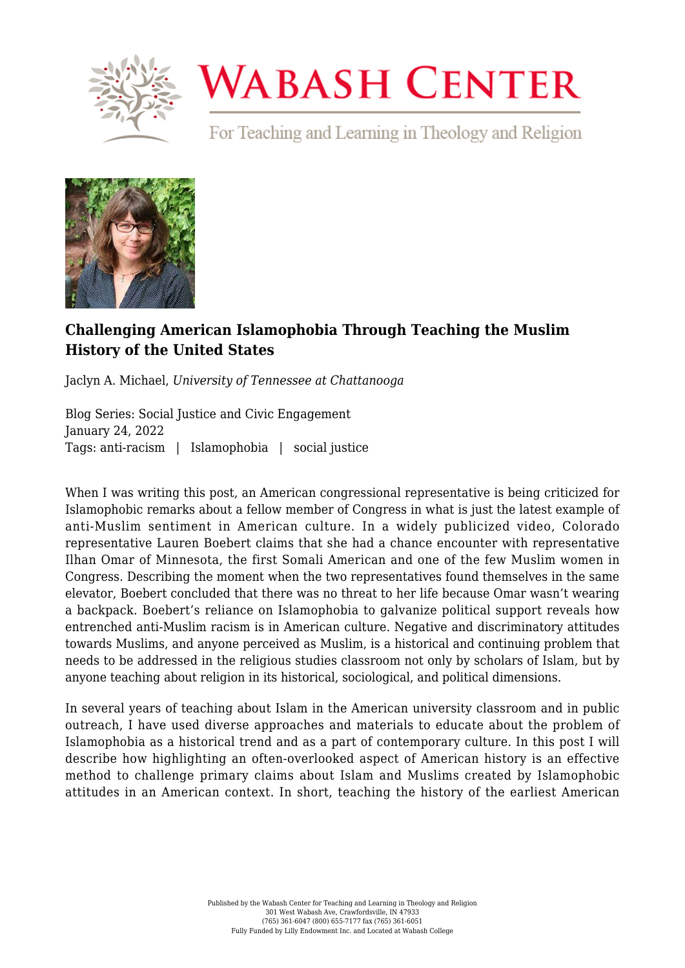

## **WABASH CENTER**

For Teaching and Learning in Theology and Religion



## **[Challenging American Islamophobia Through Teaching the Muslim](https://www.wabashcenter.wabash.edu/2022/01/challenging-american-islamophobia-through-teaching-the-muslim-history-of-the-united-states/) [History of the United States](https://www.wabashcenter.wabash.edu/2022/01/challenging-american-islamophobia-through-teaching-the-muslim-history-of-the-united-states/)**

Jaclyn A. Michael, *University of Tennessee at Chattanooga*

Blog Series: Social Justice and Civic Engagement January 24, 2022 Tags: anti-racism | Islamophobia | social justice

When I was writing this post, an American congressional representative is being criticized for Islamophobic remarks about a fellow member of Congress in what is just the latest example of anti-Muslim sentiment in American culture. In a widely publicized video, Colorado representative Lauren Boebert claims that she had a chance encounter with representative Ilhan Omar of Minnesota, the first Somali American and one of the few Muslim women in Congress. Describing the moment when the two representatives found themselves in the same elevator, Boebert concluded that there was no threat to her life because Omar wasn't wearing a backpack. Boebert's reliance on Islamophobia to galvanize political support reveals how entrenched anti-Muslim racism is in American culture. Negative and discriminatory attitudes towards Muslims, and anyone perceived as Muslim, is a [historical and continuing](https://www.fortresspress.com/store/product/9781506450445/The-Fear-of-Islam-Second-Edition-An-Introduction-to-Islamophobia-in-the-West) problem that needs to be addressed in the religious studies classroom not only by scholars of Islam, but by anyone teaching about religion in its historical, sociological, and political dimensions.

In several years of teaching about Islam in the American university classroom and in public outreach, I have used [diverse approaches and materials](https://islamophobiaisracism.wordpress.com/) to educate about the problem of Islamophobia as a historical trend and as a part of contemporary culture. In this post I will describe how highlighting an often-overlooked aspect of American history is an effective method to challenge primary claims about Islam and Muslims created by Islamophobic attitudes in an American context. In short, teaching the history of the earliest American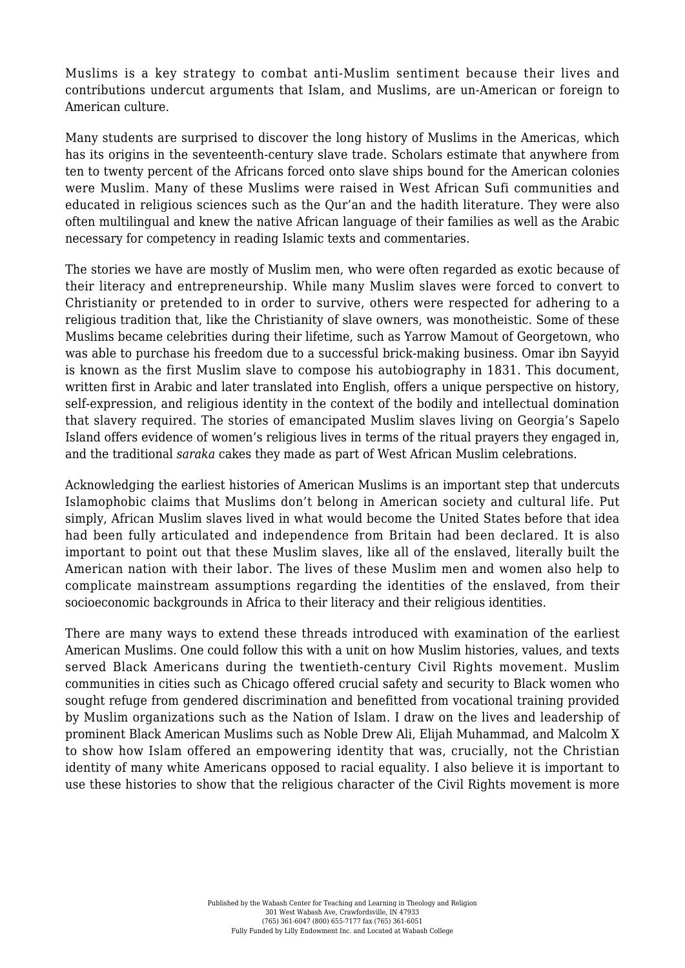Muslims is a key strategy to combat anti-Muslim sentiment because their lives and contributions undercut arguments that Islam, and Muslims, are un-American or foreign to American culture.

Many students are surprised to discover the long history of Muslims in the Americas, which has its origins in the seventeenth-century slave trade. Scholars estimate that anywhere from ten to twenty percent of the Africans forced onto slave ships bound for the American colonies were Muslim. Many of these Muslims were raised in West African Sufi communities and educated in religious sciences such as the Qur'an and the hadith literature. They were also often multilingual and knew the native African language of their families as well as the Arabic necessary for competency in reading Islamic texts and commentaries.

The stories we have are mostly of Muslim men, who were often regarded as exotic because of their literacy and entrepreneurship. While many Muslim slaves were forced to convert to Christianity or pretended to in order to survive, others were [respected for adhering to a](https://www.sylvianediouf.com/servants_of_allah__african_muslims_enslaved_in_the_americas___2013_edition__119565.htm) [religious tradition](https://www.sylvianediouf.com/servants_of_allah__african_muslims_enslaved_in_the_americas___2013_edition__119565.htm) that, like the Christianity of slave owners, was monotheistic. Some of these Muslims became celebrities during their lifetime, such as Yarrow Mamout of Georgetown, who was able to [purchase his freedom](https://boundarystones.weta.org/2012/11/27/yarrow-mamouts-place-history) due to a successful brick-making business. Omar ibn Sayyid is known as the first Muslim slave to [compose his autobiography](http://nationalhumanitiescenter.org/pds/maai/community/text3/religionomaribnsaid.pdf) in 1831. This document, written first in Arabic and later [translated into English,](https://www.loc.gov/collections/omar-ibn-said-collection/about-this-collection/) offers a unique perspective on history, self-expression, and religious identity in the context of the bodily and intellectual domination that slavery required. The stories of emancipated Muslim slaves living on [Georgia's Sapelo](https://sapelosquare.com/2015/07/07/sadaqah-saraka-and-sapelo/) [Island](https://sapelosquare.com/2015/07/07/sadaqah-saraka-and-sapelo/) offers evidence of women's religious lives in terms of the ritual prayers they engaged in, and the traditional *saraka* cakes they made as part of West African Muslim celebrations.

Acknowledging the earliest histories of American Muslims is an important step that undercuts Islamophobic claims that Muslims don't belong in American society and cultural life. Put simply, African Muslim slaves lived in what would become the United States before that idea had been fully articulated and independence from Britain had been declared. It is also important to point out that these Muslim slaves, like all of the enslaved, literally built the American nation with their labor. The lives of these Muslim men and women also help to complicate mainstream assumptions regarding the identities of the enslaved, from their socioeconomic backgrounds in Africa to their literacy and their religious identities.

There are many ways to extend these threads introduced with examination of the earliest American Muslims. One could follow this with a unit on how Muslim histories, values, and texts served Black Americans during the twentieth-century Civil Rights movement. Muslim communities in cities such as Chicago [offered crucial safety and security](https://nyupress.org/9781479823420/being-muslim/) to Black women who sought refuge from gendered discrimination and benefitted from vocational training provided by Muslim organizations such as the Nation of Islam. I draw on the lives and leadership of prominent Black American Muslims such as Noble Drew Ali, Elijah Muhammad, and Malcolm X to show how [Islam offered an empowering identity](https://www.sunypress.edu/p-3584-islam-in-black-america.aspx) that was, crucially, not the Christian identity of many white Americans opposed to racial equality. I also believe it is important to use these histories to show that the religious character of the Civil Rights movement is more